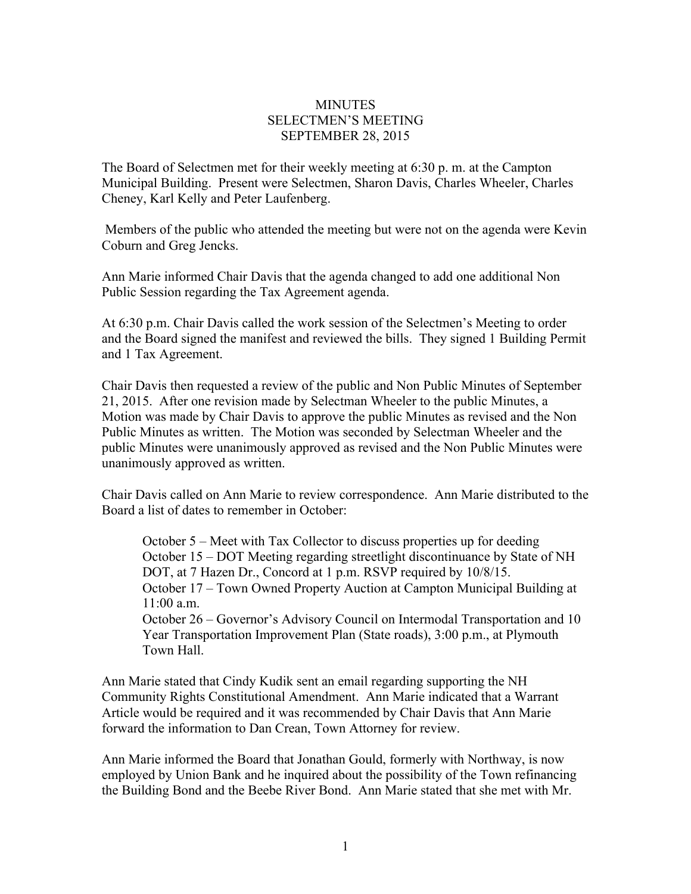## **MINUTES** SELECTMEN'S MEETING SEPTEMBER 28, 2015

The Board of Selectmen met for their weekly meeting at 6:30 p. m. at the Campton Municipal Building. Present were Selectmen, Sharon Davis, Charles Wheeler, Charles Cheney, Karl Kelly and Peter Laufenberg.

Members of the public who attended the meeting but were not on the agenda were Kevin Coburn and Greg Jencks.

Ann Marie informed Chair Davis that the agenda changed to add one additional Non Public Session regarding the Tax Agreement agenda.

At 6:30 p.m. Chair Davis called the work session of the Selectmen's Meeting to order and the Board signed the manifest and reviewed the bills. They signed 1 Building Permit and 1 Tax Agreement.

Chair Davis then requested a review of the public and Non Public Minutes of September 21, 2015. After one revision made by Selectman Wheeler to the public Minutes, a Motion was made by Chair Davis to approve the public Minutes as revised and the Non Public Minutes as written. The Motion was seconded by Selectman Wheeler and the public Minutes were unanimously approved as revised and the Non Public Minutes were unanimously approved as written.

Chair Davis called on Ann Marie to review correspondence. Ann Marie distributed to the Board a list of dates to remember in October:

October 5 – Meet with Tax Collector to discuss properties up for deeding October 15 – DOT Meeting regarding streetlight discontinuance by State of NH DOT, at 7 Hazen Dr., Concord at 1 p.m. RSVP required by  $10/8/15$ . October 17 – Town Owned Property Auction at Campton Municipal Building at 11:00 a.m. October 26 – Governor's Advisory Council on Intermodal Transportation and 10

Year Transportation Improvement Plan (State roads), 3:00 p.m., at Plymouth Town Hall.

Ann Marie stated that Cindy Kudik sent an email regarding supporting the NH Community Rights Constitutional Amendment. Ann Marie indicated that a Warrant Article would be required and it was recommended by Chair Davis that Ann Marie forward the information to Dan Crean, Town Attorney for review.

Ann Marie informed the Board that Jonathan Gould, formerly with Northway, is now employed by Union Bank and he inquired about the possibility of the Town refinancing the Building Bond and the Beebe River Bond. Ann Marie stated that she met with Mr.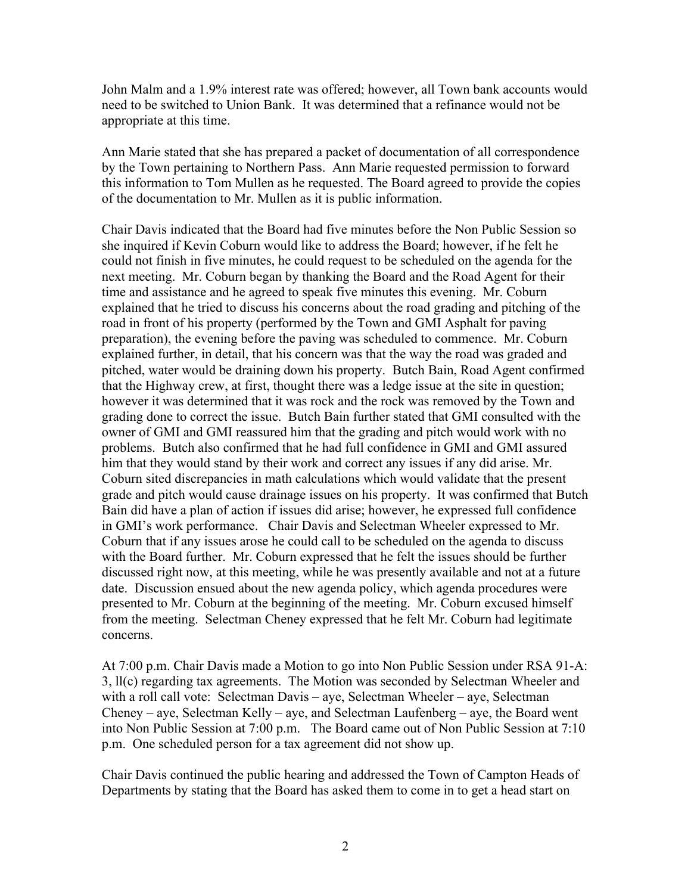John Malm and a 1.9% interest rate was offered; however, all Town bank accounts would need to be switched to Union Bank. It was determined that a refinance would not be appropriate at this time.

Ann Marie stated that she has prepared a packet of documentation of all correspondence by the Town pertaining to Northern Pass. Ann Marie requested permission to forward this information to Tom Mullen as he requested. The Board agreed to provide the copies of the documentation to Mr. Mullen as it is public information.

Chair Davis indicated that the Board had five minutes before the Non Public Session so she inquired if Kevin Coburn would like to address the Board; however, if he felt he could not finish in five minutes, he could request to be scheduled on the agenda for the next meeting. Mr. Coburn began by thanking the Board and the Road Agent for their time and assistance and he agreed to speak five minutes this evening. Mr. Coburn explained that he tried to discuss his concerns about the road grading and pitching of the road in front of his property (performed by the Town and GMI Asphalt for paving preparation), the evening before the paving was scheduled to commence. Mr. Coburn explained further, in detail, that his concern was that the way the road was graded and pitched, water would be draining down his property. Butch Bain, Road Agent confirmed that the Highway crew, at first, thought there was a ledge issue at the site in question; however it was determined that it was rock and the rock was removed by the Town and grading done to correct the issue. Butch Bain further stated that GMI consulted with the owner of GMI and GMI reassured him that the grading and pitch would work with no problems. Butch also confirmed that he had full confidence in GMI and GMI assured him that they would stand by their work and correct any issues if any did arise. Mr. Coburn sited discrepancies in math calculations which would validate that the present grade and pitch would cause drainage issues on his property. It was confirmed that Butch Bain did have a plan of action if issues did arise; however, he expressed full confidence in GMI's work performance. Chair Davis and Selectman Wheeler expressed to Mr. Coburn that if any issues arose he could call to be scheduled on the agenda to discuss with the Board further. Mr. Coburn expressed that he felt the issues should be further discussed right now, at this meeting, while he was presently available and not at a future date. Discussion ensued about the new agenda policy, which agenda procedures were presented to Mr. Coburn at the beginning of the meeting. Mr. Coburn excused himself from the meeting. Selectman Cheney expressed that he felt Mr. Coburn had legitimate concerns.

At 7:00 p.m. Chair Davis made a Motion to go into Non Public Session under RSA 91-A: 3, ll(c) regarding tax agreements. The Motion was seconded by Selectman Wheeler and with a roll call vote: Selectman Davis – aye, Selectman Wheeler – aye, Selectman Cheney – aye, Selectman Kelly – aye, and Selectman Laufenberg – aye, the Board went into Non Public Session at 7:00 p.m. The Board came out of Non Public Session at 7:10 p.m. One scheduled person for a tax agreement did not show up.

Chair Davis continued the public hearing and addressed the Town of Campton Heads of Departments by stating that the Board has asked them to come in to get a head start on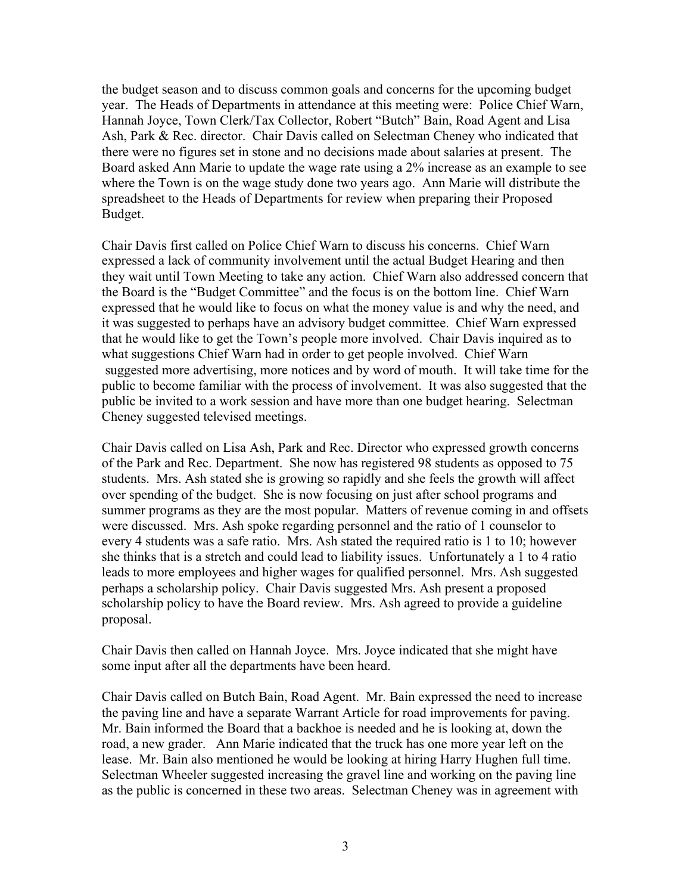the budget season and to discuss common goals and concerns for the upcoming budget year. The Heads of Departments in attendance at this meeting were: Police Chief Warn, Hannah Joyce, Town Clerk/Tax Collector, Robert "Butch" Bain, Road Agent and Lisa Ash, Park & Rec. director. Chair Davis called on Selectman Cheney who indicated that there were no figures set in stone and no decisions made about salaries at present. The Board asked Ann Marie to update the wage rate using a 2% increase as an example to see where the Town is on the wage study done two years ago. Ann Marie will distribute the spreadsheet to the Heads of Departments for review when preparing their Proposed Budget.

Chair Davis first called on Police Chief Warn to discuss his concerns. Chief Warn expressed a lack of community involvement until the actual Budget Hearing and then they wait until Town Meeting to take any action. Chief Warn also addressed concern that the Board is the "Budget Committee" and the focus is on the bottom line. Chief Warn expressed that he would like to focus on what the money value is and why the need, and it was suggested to perhaps have an advisory budget committee. Chief Warn expressed that he would like to get the Town's people more involved. Chair Davis inquired as to what suggestions Chief Warn had in order to get people involved. Chief Warn suggested more advertising, more notices and by word of mouth. It will take time for the public to become familiar with the process of involvement. It was also suggested that the public be invited to a work session and have more than one budget hearing. Selectman Cheney suggested televised meetings.

Chair Davis called on Lisa Ash, Park and Rec. Director who expressed growth concerns of the Park and Rec. Department. She now has registered 98 students as opposed to 75 students. Mrs. Ash stated she is growing so rapidly and she feels the growth will affect over spending of the budget. She is now focusing on just after school programs and summer programs as they are the most popular. Matters of revenue coming in and offsets were discussed. Mrs. Ash spoke regarding personnel and the ratio of 1 counselor to every 4 students was a safe ratio. Mrs. Ash stated the required ratio is 1 to 10; however she thinks that is a stretch and could lead to liability issues. Unfortunately a 1 to 4 ratio leads to more employees and higher wages for qualified personnel. Mrs. Ash suggested perhaps a scholarship policy. Chair Davis suggested Mrs. Ash present a proposed scholarship policy to have the Board review. Mrs. Ash agreed to provide a guideline proposal.

Chair Davis then called on Hannah Joyce. Mrs. Joyce indicated that she might have some input after all the departments have been heard.

Chair Davis called on Butch Bain, Road Agent. Mr. Bain expressed the need to increase the paving line and have a separate Warrant Article for road improvements for paving. Mr. Bain informed the Board that a backhoe is needed and he is looking at, down the road, a new grader. Ann Marie indicated that the truck has one more year left on the lease. Mr. Bain also mentioned he would be looking at hiring Harry Hughen full time. Selectman Wheeler suggested increasing the gravel line and working on the paving line as the public is concerned in these two areas. Selectman Cheney was in agreement with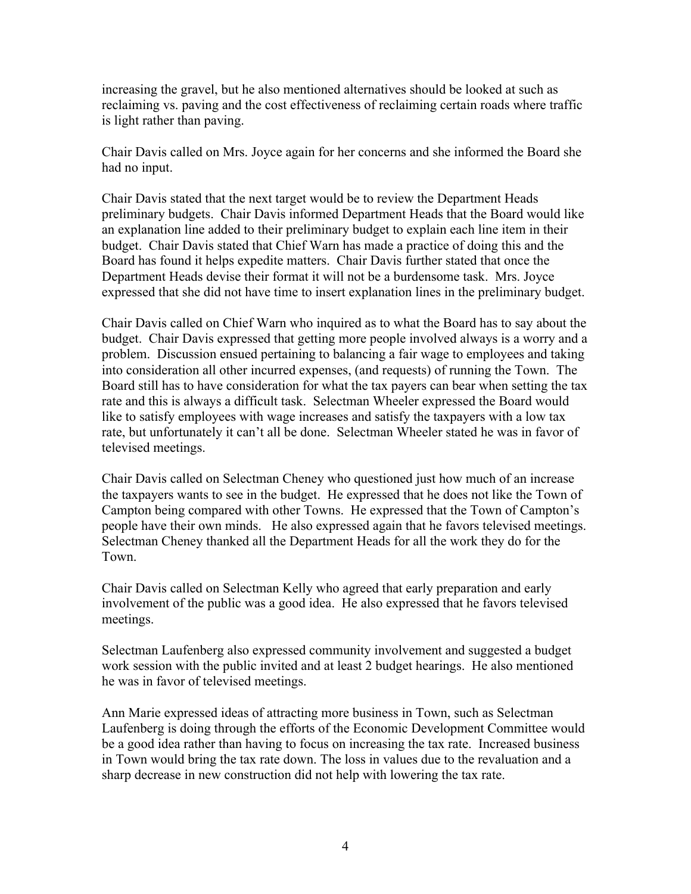increasing the gravel, but he also mentioned alternatives should be looked at such as reclaiming vs. paving and the cost effectiveness of reclaiming certain roads where traffic is light rather than paving.

Chair Davis called on Mrs. Joyce again for her concerns and she informed the Board she had no input.

Chair Davis stated that the next target would be to review the Department Heads preliminary budgets. Chair Davis informed Department Heads that the Board would like an explanation line added to their preliminary budget to explain each line item in their budget. Chair Davis stated that Chief Warn has made a practice of doing this and the Board has found it helps expedite matters. Chair Davis further stated that once the Department Heads devise their format it will not be a burdensome task. Mrs. Joyce expressed that she did not have time to insert explanation lines in the preliminary budget.

Chair Davis called on Chief Warn who inquired as to what the Board has to say about the budget. Chair Davis expressed that getting more people involved always is a worry and a problem. Discussion ensued pertaining to balancing a fair wage to employees and taking into consideration all other incurred expenses, (and requests) of running the Town. The Board still has to have consideration for what the tax payers can bear when setting the tax rate and this is always a difficult task. Selectman Wheeler expressed the Board would like to satisfy employees with wage increases and satisfy the taxpayers with a low tax rate, but unfortunately it can't all be done. Selectman Wheeler stated he was in favor of televised meetings.

Chair Davis called on Selectman Cheney who questioned just how much of an increase the taxpayers wants to see in the budget. He expressed that he does not like the Town of Campton being compared with other Towns. He expressed that the Town of Campton's people have their own minds. He also expressed again that he favors televised meetings. Selectman Cheney thanked all the Department Heads for all the work they do for the Town.

Chair Davis called on Selectman Kelly who agreed that early preparation and early involvement of the public was a good idea. He also expressed that he favors televised meetings.

Selectman Laufenberg also expressed community involvement and suggested a budget work session with the public invited and at least 2 budget hearings. He also mentioned he was in favor of televised meetings.

Ann Marie expressed ideas of attracting more business in Town, such as Selectman Laufenberg is doing through the efforts of the Economic Development Committee would be a good idea rather than having to focus on increasing the tax rate. Increased business in Town would bring the tax rate down. The loss in values due to the revaluation and a sharp decrease in new construction did not help with lowering the tax rate.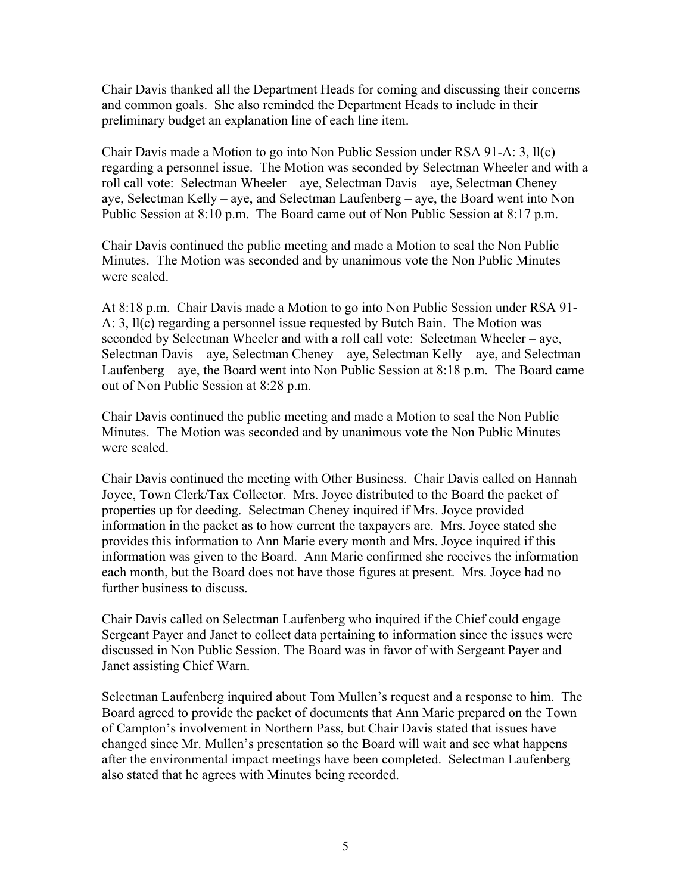Chair Davis thanked all the Department Heads for coming and discussing their concerns and common goals. She also reminded the Department Heads to include in their preliminary budget an explanation line of each line item.

Chair Davis made a Motion to go into Non Public Session under RSA 91-A: 3, ll(c) regarding a personnel issue. The Motion was seconded by Selectman Wheeler and with a roll call vote: Selectman Wheeler – aye, Selectman Davis – aye, Selectman Cheney – aye, Selectman Kelly – aye, and Selectman Laufenberg – aye, the Board went into Non Public Session at 8:10 p.m. The Board came out of Non Public Session at 8:17 p.m.

Chair Davis continued the public meeting and made a Motion to seal the Non Public Minutes. The Motion was seconded and by unanimous vote the Non Public Minutes were sealed.

At 8:18 p.m. Chair Davis made a Motion to go into Non Public Session under RSA 91- A: 3, ll(c) regarding a personnel issue requested by Butch Bain. The Motion was seconded by Selectman Wheeler and with a roll call vote: Selectman Wheeler – aye, Selectman Davis – aye, Selectman Cheney – aye, Selectman Kelly – aye, and Selectman Laufenberg – aye, the Board went into Non Public Session at 8:18 p.m. The Board came out of Non Public Session at 8:28 p.m.

Chair Davis continued the public meeting and made a Motion to seal the Non Public Minutes. The Motion was seconded and by unanimous vote the Non Public Minutes were sealed.

Chair Davis continued the meeting with Other Business. Chair Davis called on Hannah Joyce, Town Clerk/Tax Collector. Mrs. Joyce distributed to the Board the packet of properties up for deeding. Selectman Cheney inquired if Mrs. Joyce provided information in the packet as to how current the taxpayers are. Mrs. Joyce stated she provides this information to Ann Marie every month and Mrs. Joyce inquired if this information was given to the Board. Ann Marie confirmed she receives the information each month, but the Board does not have those figures at present. Mrs. Joyce had no further business to discuss.

Chair Davis called on Selectman Laufenberg who inquired if the Chief could engage Sergeant Payer and Janet to collect data pertaining to information since the issues were discussed in Non Public Session. The Board was in favor of with Sergeant Payer and Janet assisting Chief Warn.

Selectman Laufenberg inquired about Tom Mullen's request and a response to him. The Board agreed to provide the packet of documents that Ann Marie prepared on the Town of Campton's involvement in Northern Pass, but Chair Davis stated that issues have changed since Mr. Mullen's presentation so the Board will wait and see what happens after the environmental impact meetings have been completed. Selectman Laufenberg also stated that he agrees with Minutes being recorded.